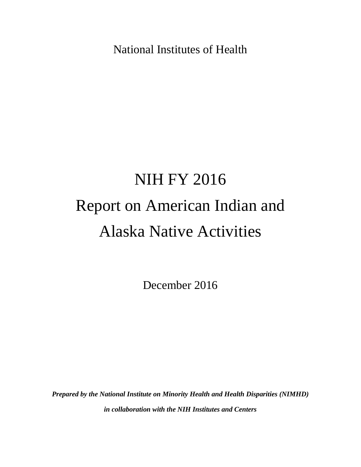National Institutes of Health

# NIH FY 2016 Report on American Indian and Alaska Native Activities

December 2016

*Prepared by the National Institute on Minority Health and Health Disparities (NIMHD) in collaboration with the NIH Institutes and Centers*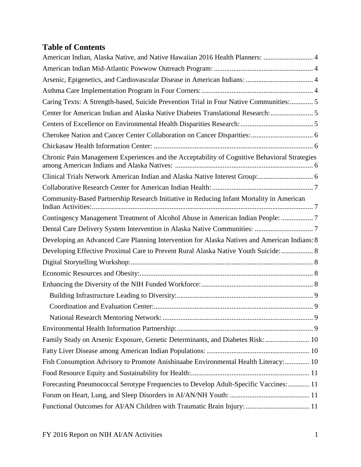# **Table of Contents**

| American Indian, Alaska Native, and Native Hawaiian 2016 Health Planners:  4                 |
|----------------------------------------------------------------------------------------------|
|                                                                                              |
|                                                                                              |
|                                                                                              |
| Caring Texts: A Strength-based, Suicide Prevention Trial in Four Native Communities: 5       |
| Center for American Indian and Alaska Native Diabetes Translational Research:  5             |
|                                                                                              |
|                                                                                              |
|                                                                                              |
| Chronic Pain Management Experiences and the Acceptability of Cognitive Behavioral Strategies |
|                                                                                              |
|                                                                                              |
| Community-Based Partnership Research Initiative in Reducing Infant Mortality in American     |
| Contingency Management Treatment of Alcohol Abuse in American Indian People: 7               |
|                                                                                              |
| Developing an Advanced Care Planning Intervention for Alaska Natives and American Indians: 8 |
| Developing Effective Proximal Care to Prevent Rural Alaska Native Youth Suicide: 8           |
|                                                                                              |
|                                                                                              |
|                                                                                              |
|                                                                                              |
|                                                                                              |
|                                                                                              |
|                                                                                              |
| Family Study on Arsenic Exposure, Genetic Determinants, and Diabetes Risk:  10               |
|                                                                                              |
| Fish Consumption Advisory to Promote Anishinaabe Environmental Health Literacy: 10           |
|                                                                                              |
| Forecasting Pneumococcal Serotype Frequencies to Develop Adult-Specific Vaccines:  11        |
|                                                                                              |
| Functional Outcomes for AI/AN Children with Traumatic Brain Injury:  11                      |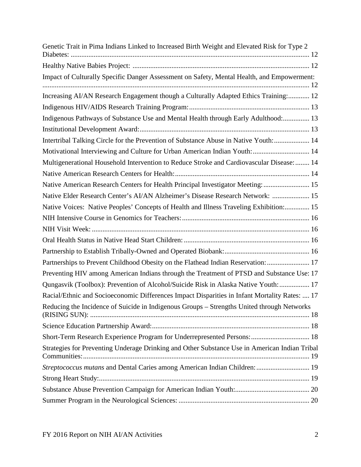| Genetic Trait in Pima Indians Linked to Increased Birth Weight and Elevated Risk for Type 2   |
|-----------------------------------------------------------------------------------------------|
|                                                                                               |
| Impact of Culturally Specific Danger Assessment on Safety, Mental Health, and Empowerment:    |
| Increasing AI/AN Research Engagement though a Culturally Adapted Ethics Training: 12          |
|                                                                                               |
| Indigenous Pathways of Substance Use and Mental Health through Early Adulthood: 13            |
|                                                                                               |
| Intertribal Talking Circle for the Prevention of Substance Abuse in Native Youth: 14          |
| Motivational Interviewing and Culture for Urban American Indian Youth:  14                    |
| Multigenerational Household Intervention to Reduce Stroke and Cardiovascular Disease:  14     |
|                                                                                               |
| Native American Research Centers for Health Principal Investigator Meeting:  15               |
| Native Elder Research Center's AI/AN Alzheimer's Disease Research Network:  15                |
| Native Voices: Native Peoples' Concepts of Health and Illness Traveling Exhibition: 15        |
|                                                                                               |
|                                                                                               |
|                                                                                               |
|                                                                                               |
| Partnerships to Prevent Childhood Obesity on the Flathead Indian Reservation:  17             |
| Preventing HIV among American Indians through the Treatment of PTSD and Substance Use: 17     |
| Qungasvik (Toolbox): Prevention of Alcohol/Suicide Risk in Alaska Native Youth:  17           |
| Racial/Ethnic and Socioeconomic Differences Impact Disparities in Infant Mortality Rates:  17 |
| Reducing the Incidence of Suicide in Indigenous Groups - Strengths United through Networks    |
|                                                                                               |
| Short-Term Research Experience Program for Underrepresented Persons:  18                      |
| Strategies for Preventing Underage Drinking and Other Substance Use in American Indian Tribal |
| Streptococcus mutans and Dental Caries among American Indian Children:  19                    |
|                                                                                               |
|                                                                                               |
|                                                                                               |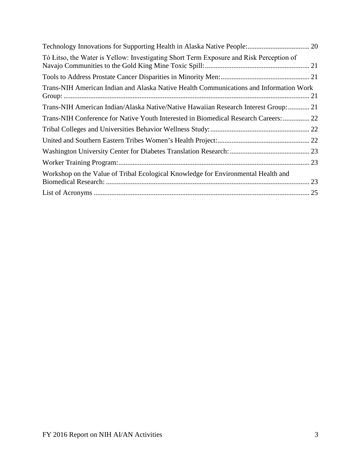| Tó Litso, the Water is Yellow: Investigating Short Term Exposure and Risk Perception of |  |
|-----------------------------------------------------------------------------------------|--|
|                                                                                         |  |
| Trans-NIH American Indian and Alaska Native Health Communications and Information Work  |  |
| Trans-NIH American Indian/Alaska Native/Native Hawaiian Research Interest Group:  21    |  |
| Trans-NIH Conference for Native Youth Interested in Biomedical Research Careers:  22    |  |
|                                                                                         |  |
|                                                                                         |  |
|                                                                                         |  |
|                                                                                         |  |
| Workshop on the Value of Tribal Ecological Knowledge for Environmental Health and       |  |
|                                                                                         |  |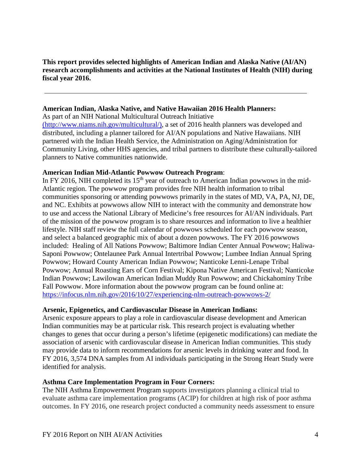**This report provides selected highlights of American Indian and Alaska Native (AI/AN) research accomplishments and activities at the National Institutes of Health (NIH) during fiscal year 2016.** 

### <span id="page-4-0"></span>**American Indian, Alaska Native, and Native Hawaiian 2016 Health Planners:**

As part of an NIH National Multicultural Outreach Initiative [\(http://www.niams.nih.gov/multicultural/\)](http://www.niams.nih.gov/multicultural/), a set of 2016 health planners was developed and distributed, including a planner tailored for AI/AN populations and Native Hawaiians. NIH partnered with the Indian Health Service, the Administration on Aging/Administration for Community Living, other HHS agencies, and tribal partners to distribute these culturally-tailored

# <span id="page-4-1"></span>**American Indian Mid-Atlantic Powwow Outreach Program**:

planners to Native communities nationwide.

In FY 2016, NIH completed its 15<sup>th</sup> year of outreach to American Indian powwows in the mid-Atlantic region. The powwow program provides free NIH health information to tribal communities sponsoring or attending powwows primarily in the states of MD, VA, PA, NJ, DE, and NC. Exhibits at powwows allow NIH to interact with the community and demonstrate how to use and access the National Library of Medicine's free resources for AI/AN individuals. Part of the mission of the powwow program is to share resources and information to live a healthier lifestyle. NIH staff review the full calendar of powwows scheduled for each powwow season, and select a balanced geographic mix of about a dozen powwows. The FY 2016 powwows included: Healing of All Nations Powwow; Baltimore Indian Center Annual Powwow; Haliwa-Saponi Powwow; Ontelaunee Park Annual Intertribal Powwow; Lumbee Indian Annual Spring Powwow; Howard County American Indian Powwow; Nanticoke Lenni-Lenape Tribal Powwow; Annual Roasting Ears of Corn Festival; Kipona Native American Festival; Nanticoke Indian Powwow; Lawilowan American Indian Muddy Run Powwow; and Chickahominy Tribe Fall Powwow. More information about the powwow program can be found online at: <https://infocus.nlm.nih.gov/2016/10/27/experiencing-nlm-outreach-powwows-2/>

# <span id="page-4-2"></span>**Arsenic, Epigenetics, and Cardiovascular Disease in American Indians:**

Arsenic exposure appears to play a role in cardiovascular disease development and American Indian communities may be at particular risk. This research project is evaluating whether changes to genes that occur during a person's lifetime (epigenetic modifications) can mediate the association of arsenic with cardiovascular disease in American Indian communities. This study may provide data to inform recommendations for arsenic levels in drinking water and food. In FY 2016, 3,574 DNA samples from AI individuals participating in the Strong Heart Study were identified for analysis.

# <span id="page-4-3"></span>**Asthma Care Implementation Program in Four Corners:**

The NIH Asthma Empowerment Program supports investigators planning a clinical trial to evaluate asthma care implementation programs (ACIP) for children at high risk of poor asthma outcomes. In FY 2016, one research project conducted a community needs assessment to ensure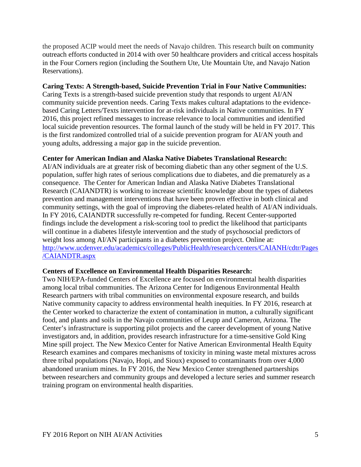the proposed ACIP would meet the needs of Navajo children. This research built on community outreach efforts conducted in 2014 with over 50 healthcare providers and critical access hospitals in the Four Corners region (including the Southern Ute, Ute Mountain Ute, and Navajo Nation Reservations).

# <span id="page-5-0"></span>**Caring Texts: A Strength-based, Suicide Prevention Trial in Four Native Communities:**

Caring Texts is a strength-based suicide prevention study that responds to urgent AI/AN community suicide prevention needs. Caring Texts makes cultural adaptations to the evidencebased Caring Letters/Texts intervention for at-risk individuals in Native communities. In FY 2016, this project refined messages to increase relevance to local communities and identified local suicide prevention resources. The formal launch of the study will be held in FY 2017. This is the first randomized controlled trial of a suicide prevention program for AI/AN youth and young adults, addressing a major gap in the suicide prevention.

### <span id="page-5-1"></span>**Center for American Indian and Alaska Native Diabetes Translational Research:**

AI/AN individuals are at greater risk of becoming diabetic than any other segment of the U.S. population, suffer high rates of serious complications due to diabetes, and die prematurely as a consequence. The Center for American Indian and Alaska Native Diabetes Translational Research (CAIANDTR) is working to increase scientific knowledge about the types of diabetes prevention and management interventions that have been proven effective in both clinical and community settings, with the goal of improving the diabetes-related health of AI/AN individuals. In FY 2016, CAIANDTR successfully re-competed for funding. Recent Center-supported findings include the development a risk-scoring tool to predict the likelihood that participants will continue in a diabetes lifestyle intervention and the study of psychosocial predictors of weight loss among AI/AN participants in a diabetes prevention project. Online at: [http://www.ucdenver.edu/academics/colleges/PublicHealth/research/centers/CAIANH/cdtr/Pages](http://www.ucdenver.edu/academics/colleges/PublicHealth/research/centers/CAIANH/cdtr/Pages/CAIANDTR.aspx) [/CAIANDTR.aspx](http://www.ucdenver.edu/academics/colleges/PublicHealth/research/centers/CAIANH/cdtr/Pages/CAIANDTR.aspx)

#### <span id="page-5-2"></span>**Centers of Excellence on Environmental Health Disparities Research:**

Two NIH/EPA-funded Centers of Excellence are focused on environmental health disparities among local tribal communities. The Arizona Center for Indigenous Environmental Health Research partners with tribal communities on environmental exposure research, and builds Native community capacity to address environmental health inequities. In FY 2016, research at the Center worked to characterize the extent of contamination in mutton, a culturally significant food, and plants and soils in the Navajo communities of Leupp and Cameron, Arizona. The Center's infrastructure is supporting pilot projects and the career development of young Native investigators and, in addition, provides research infrastructure for a time-sensitive Gold King Mine spill project. The New Mexico Center for Native American Environmental Health Equity Research examines and compares mechanisms of toxicity in mining waste metal mixtures across three tribal populations (Navajo, Hopi, and Sioux) exposed to contaminants from over 4,000 abandoned uranium mines. In FY 2016, the New Mexico Center strengthened partnerships between researchers and community groups and developed a lecture series and summer research training program on environmental health disparities.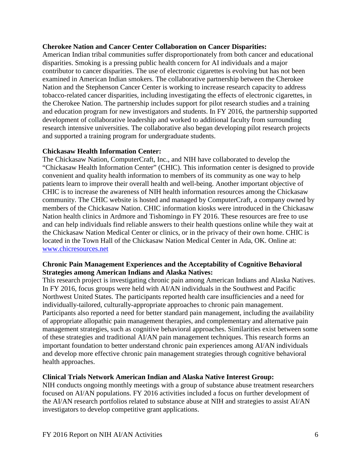#### <span id="page-6-0"></span>**Cherokee Nation and Cancer Center Collaboration on Cancer Disparities:**

American Indian tribal communities suffer disproportionately from both cancer and educational disparities. Smoking is a pressing public health concern for AI individuals and a major contributor to cancer disparities. The use of electronic cigarettes is evolving but has not been examined in American Indian smokers. The collaborative partnership between the Cherokee Nation and the Stephenson Cancer Center is working to increase research capacity to address tobacco-related cancer disparities, including investigating the effects of electronic cigarettes, in the Cherokee Nation. The partnership includes support for pilot research studies and a training and education program for new investigators and students. In FY 2016, the partnership supported development of collaborative leadership and worked to additional faculty from surrounding research intensive universities. The collaborative also began developing pilot research projects and supported a training program for undergraduate students.

### <span id="page-6-1"></span>**Chickasaw Health Information Center:**

The Chickasaw Nation, ComputerCraft, Inc., and NIH have collaborated to develop the "Chickasaw Health Information Center" (CHIC). This information center is designed to provide convenient and quality health information to members of its community as one way to help patients learn to improve their overall health and well-being. Another important objective of CHIC is to increase the awareness of NIH health information resources among the Chickasaw community. The CHIC website is hosted and managed by ComputerCraft, a company owned by members of the Chickasaw Nation. CHIC information kiosks were introduced in the Chickasaw Nation health clinics in Ardmore and Tishomingo in FY 2016. These resources are free to use and can help individuals find reliable answers to their health questions online while they wait at the Chickasaw Nation Medical Center or clinics, or in the privacy of their own home. CHIC is located in the Town Hall of the Chickasaw Nation Medical Center in Ada, OK. Online at: [www.chicresources.net](http://www.chicresources.net/)

# <span id="page-6-2"></span>**Chronic Pain Management Experiences and the Acceptability of Cognitive Behavioral Strategies among American Indians and Alaska Natives:**

This research project is investigating chronic pain among American Indians and Alaska Natives. In FY 2016, focus groups were held with AI/AN individuals in the Southwest and Pacific Northwest United States. The participants reported health care insufficiencies and a need for individually-tailored, culturally-appropriate approaches to chronic pain management. Participants also reported a need for better standard pain management, including the availability of appropriate allopathic pain management therapies, and complementary and alternative pain management strategies, such as cognitive behavioral approaches. Similarities exist between some of these strategies and traditional AI/AN pain management techniques. This research forms an important foundation to better understand chronic pain experiences among AI/AN individuals and develop more effective chronic pain management strategies through cognitive behavioral health approaches.

# <span id="page-6-3"></span>**Clinical Trials Network American Indian and Alaska Native Interest Group:**

NIH conducts ongoing monthly meetings with a group of substance abuse treatment researchers focused on AI/AN populations. FY 2016 activities included a focus on further development of the AI/AN research portfolios related to substance abuse at NIH and strategies to assist AI/AN investigators to develop competitive grant applications.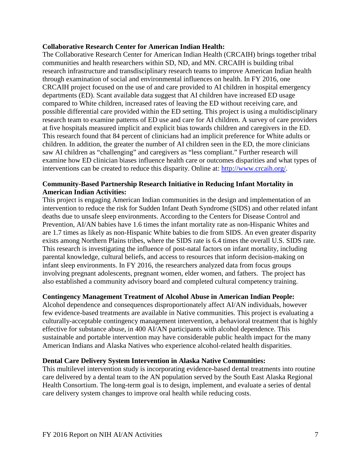#### <span id="page-7-0"></span>**Collaborative Research Center for American Indian Health:**

The Collaborative Research Center for American Indian Health (CRCAIH) brings together tribal communities and health researchers within SD, ND, and MN. CRCAIH is building tribal research infrastructure and transdisciplinary research teams to improve American Indian health through examination of social and environmental influences on health. In FY 2016, one CRCAIH project focused on the use of and care provided to AI children in hospital emergency departments (ED). Scant available data suggest that AI children have increased ED usage compared to White children, increased rates of leaving the ED without receiving care, and possible differential care provided within the ED setting. This project is using a multidisciplinary research team to examine patterns of ED use and care for AI children. A survey of care providers at five hospitals measured implicit and explicit bias towards children and caregivers in the ED. This research found that 84 percent of clinicians had an implicit preference for White adults or children. In addition, the greater the number of AI children seen in the ED, the more clinicians saw AI children as "challenging" and caregivers as "less compliant." Further research will examine how ED clinician biases influence health care or outcomes disparities and what types of interventions can be created to reduce this disparity. Online at: [http://www.crcaih.org/.](http://www.crcaih.org/)

# <span id="page-7-1"></span>**Community-Based Partnership Research Initiative in Reducing Infant Mortality in American Indian Activities:**

This project is engaging American Indian communities in the design and implementation of an intervention to reduce the risk for Sudden Infant Death Syndrome (SIDS) and other related infant deaths due to unsafe sleep environments. According to the Centers for Disease Control and Prevention, AI/AN babies have 1.6 times the infant mortality rate as non-Hispanic Whites and are 1.7 times as likely as non-Hispanic White babies to die from SIDS. An even greater disparity exists among Northern Plains tribes, where the SIDS rate is 6.4 times the overall U.S. SIDS rate. This research is investigating the influence of post-natal factors on infant mortality, including parental knowledge, cultural beliefs, and access to resources that inform decision-making on infant sleep environments. In FY 2016, the researchers analyzed data from focus groups involving pregnant adolescents, pregnant women, elder women, and fathers. The project has also established a community advisory board and completed cultural competency training.

# <span id="page-7-2"></span>**Contingency Management Treatment of Alcohol Abuse in American Indian People:**

Alcohol dependence and consequences disproportionately affect AI/AN individuals, however few evidence-based treatments are available in Native communities. This project is evaluating a culturally-acceptable contingency management intervention, a behavioral treatment that is highly effective for substance abuse, in 400 AI/AN participants with alcohol dependence. This sustainable and portable intervention may have considerable public health impact for the many American Indians and Alaska Natives who experience alcohol-related health disparities.

#### <span id="page-7-3"></span>**Dental Care Delivery System Intervention in Alaska Native Communities:**

This multilevel intervention study is incorporating evidence-based dental treatments into routine care delivered by a dental team to the AN population served by the South East Alaska Regional Health Consortium. The long-term goal is to design, implement, and evaluate a series of dental care delivery system changes to improve oral health while reducing costs.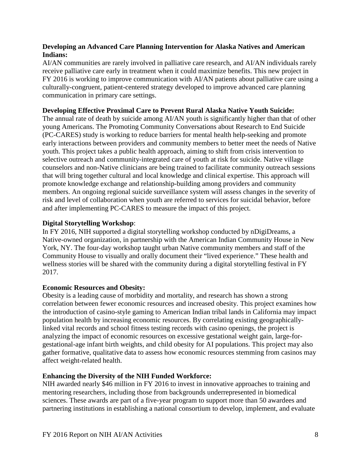# <span id="page-8-0"></span>**Developing an Advanced Care Planning Intervention for Alaska Natives and American Indians:**

AI/AN communities are rarely involved in palliative care research, and AI/AN individuals rarely receive palliative care early in treatment when it could maximize benefits. This new project in FY 2016 is working to improve communication with AI/AN patients about palliative care using a culturally-congruent, patient-centered strategy developed to improve advanced care planning communication in primary care settings.

### <span id="page-8-1"></span>**Developing Effective Proximal Care to Prevent Rural Alaska Native Youth Suicide:**

The annual rate of death by suicide among AI/AN youth is significantly higher than that of other young Americans. The Promoting Community Conversations about Research to End Suicide (PC-CARES) study is working to reduce barriers for mental health help-seeking and promote early interactions between providers and community members to better meet the needs of Native youth. This project takes a public health approach, aiming to shift from crisis intervention to selective outreach and community-integrated care of youth at risk for suicide. Native village counselors and non-Native clinicians are being trained to facilitate community outreach sessions that will bring together cultural and local knowledge and clinical expertise. This approach will promote knowledge exchange and relationship-building among providers and community members. An ongoing regional suicide surveillance system will assess changes in the severity of risk and level of collaboration when youth are referred to services for suicidal behavior, before and after implementing PC-CARES to measure the impact of this project.

#### <span id="page-8-2"></span>**Digital Storytelling Workshop**:

In FY 2016, NIH supported a digital storytelling workshop conducted by nDigiDreams, a Native-owned organization, in partnership with the American Indian Community House in New York, NY. The four-day workshop taught urban Native community members and staff of the Community House to visually and orally document their "lived experience." These health and wellness stories will be shared with the community during a digital storytelling festival in FY 2017.

#### <span id="page-8-3"></span>**Economic Resources and Obesity:**

Obesity is a leading cause of morbidity and mortality, and research has shown a strong correlation between fewer economic resources and increased obesity. This project examines how the introduction of casino-style gaming to American Indian tribal lands in California may impact population health by increasing economic resources. By correlating existing geographicallylinked vital records and school fitness testing records with casino openings, the project is analyzing the impact of economic resources on excessive gestational weight gain, large-forgestational-age infant birth weights, and child obesity for AI populations. This project may also gather formative, qualitative data to assess how economic resources stemming from casinos may affect weight-related health.

# <span id="page-8-4"></span>**Enhancing the Diversity of the NIH Funded Workforce:**

NIH awarded nearly \$46 million in FY 2016 to invest in innovative approaches to training and mentoring researchers, including those from backgrounds underrepresented in biomedical sciences. These awards are part of a five-year program to support more than 50 awardees and partnering institutions in establishing a national consortium to develop, implement, and evaluate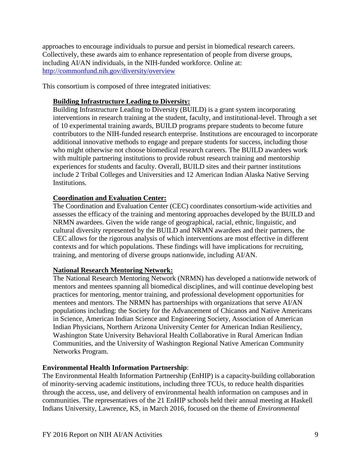approaches to encourage individuals to pursue and persist in biomedical research careers. Collectively, these awards aim to enhance representation of people from diverse groups, including AI/AN individuals, in the NIH-funded workforce. Online at: <http://commonfund.nih.gov/diversity/overview>

This consortium is composed of three integrated initiatives:

# <span id="page-9-0"></span>**Building Infrastructure Leading to Diversity:**

Building Infrastructure Leading to Diversity (BUILD) is a grant system incorporating interventions in research training at the student, faculty, and institutional-level. Through a set of 10 experimental training awards, BUILD programs prepare students to become future contributors to the NIH-funded research enterprise. Institutions are encouraged to incorporate additional innovative methods to engage and prepare students for success, including those who might otherwise not choose biomedical research careers. The BUILD awardees work with multiple partnering institutions to provide robust research training and mentorship experiences for students and faculty. Overall, BUILD sites and their partner institutions include 2 Tribal Colleges and Universities and 12 American Indian Alaska Native Serving Institutions.

# <span id="page-9-1"></span>**Coordination and Evaluation Center:**

The Coordination and Evaluation Center (CEC) coordinates consortium-wide activities and assesses the efficacy of the training and mentoring approaches developed by the BUILD and NRMN awardees. Given the wide range of geographical, racial, ethnic, linguistic, and cultural diversity represented by the BUILD and NRMN awardees and their partners, the CEC allows for the rigorous analysis of which interventions are most effective in different contexts and for which populations. These findings will have implications for recruiting, training, and mentoring of diverse groups nationwide, including AI/AN.

#### <span id="page-9-2"></span>**National Research Mentoring Network:**

The National Research Mentoring Network (NRMN) has developed a nationwide network of mentors and mentees spanning all biomedical disciplines, and will continue developing best practices for mentoring, mentor training, and professional development opportunities for mentees and mentors. The NRMN has partnerships with organizations that serve AI/AN populations including: the Society for the Advancement of Chicanos and Native Americans in Science, American Indian Science and Engineering Society, Association of American Indian Physicians, Northern Arizona University Center for American Indian Resiliency, Washington State University Behavioral Health Collaborative in Rural American Indian Communities, and the University of Washington Regional Native American Community Networks Program.

# <span id="page-9-3"></span>**Environmental Health Information Partnership**:

The Environmental Health Information Partnership (EnHIP) is a capacity-building collaboration of minority-serving academic institutions, including three TCUs, to reduce health disparities through the access, use, and delivery of environmental health information on campuses and in communities. The representatives of the 21 EnHIP schools held their annual meeting at Haskell Indians University, Lawrence, KS, in March 2016, focused on the theme of *Environmental*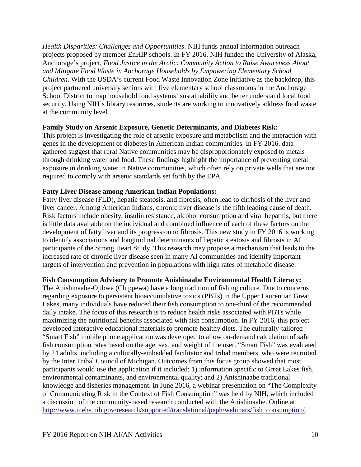*Health Disparities: Challenges and Opportunities*. NIH funds annual information outreach projects proposed by member EnHIP schools. In FY 2016, NIH funded the University of Alaska, Anchorage's project, *Food Justice in the Arctic: Community Action to Raise Awareness About and Mitigate Food Waste in Anchorage Households by Empowering Elementary School Children*. With the USDA's current Food Waste Innovation Zone initiative as the backdrop, this project partnered university seniors with five elementary school classrooms in the Anchorage School District to map household food systems' sustainability and better understand local food security. Using NIH's library resources, students are working to innovatively address food waste at the community level.

#### <span id="page-10-0"></span>**Family Study on Arsenic Exposure, Genetic Determinants, and Diabetes Risk:**

This project is investigating the role of arsenic exposure and metabolism and the interaction with genes in the development of diabetes in American Indian communities. In FY 2016, data gathered suggest that rural Native communities may be disproportionately exposed to metals through drinking water and food. These findings highlight the importance of preventing metal exposure in drinking water in Native communities, which often rely on private wells that are not required to comply with arsenic standards set forth by the EPA.

### <span id="page-10-1"></span>**Fatty Liver Disease among American Indian Populations:**

Fatty liver disease (FLD), hepatic steatosis, and fibrosis, often lead to cirrhosis of the liver and liver cancer. Among American Indians, chronic liver disease is the fifth leading cause of death. Risk factors include obesity, insulin resistance, alcohol consumption and viral hepatitis, but there is little data available on the individual and combined influence of each of these factors on the development of fatty liver and its progression to fibrosis. This new study in FY 2016 is working to identify associations and longitudinal determinants of hepatic steatosis and fibrosis in AI participants of the Strong Heart Study. This research may propose a mechanism that leads to the increased rate of chronic liver disease seen in many AI communities and identify important targets of intervention and prevention in populations with high rates of metabolic disease.

# <span id="page-10-2"></span>**Fish Consumption Advisory to Promote Anishinaabe Environmental Health Literacy:**

The Anishinaabe-Ojibwe (Chippewa) have a long tradition of fishing culture. Due to concerns regarding exposure to persistent bioaccumulative toxics (PBTs) in the Upper Laurentian Great Lakes, many individuals have reduced their fish consumption to one-third of the recommended daily intake. The focus of this research is to reduce health risks associated with PBTs while maximizing the nutritional benefits associated with fish consumption. In FY 2016, this project developed interactive educational materials to promote healthy diets. The culturally-tailored "Smart Fish" mobile phone application was developed to allow on-demand calculation of safe fish consumption rates based on the age, sex, and weight of the user. "Smart Fish" was evaluated by 24 adults, including a culturally-embedded facilitator and tribal members, who were recruited by the Inter Tribal Council of Michigan. Outcomes from this focus group showed that most participants would use the application if it included: 1) information specific to Great Lakes fish, environmental contaminants, and environmental quality; and 2) Anishinaabe traditional knowledge and fisheries management. In June 2016, a webinar presentation on "The Complexity of Communicating Risk in the Context of Fish Consumption" was held by NIH, which included a discussion of the community-based research conducted with the Anishinaabe. Online at: [http://www.niehs.nih.gov/research/supported/translational/peph/webinars/fish\\_consumption/.](http://www.niehs.nih.gov/research/supported/translational/peph/webinars/fish_consumption/)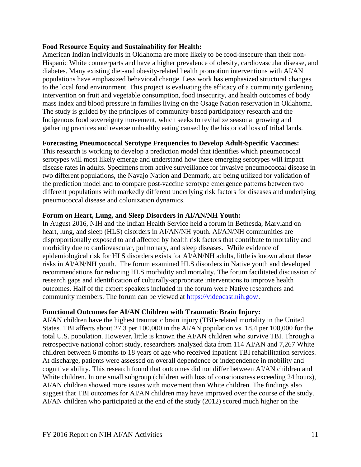#### <span id="page-11-0"></span>**Food Resource Equity and Sustainability for Health:**

American Indian individuals in Oklahoma are more likely to be food-insecure than their non-Hispanic White counterparts and have a higher prevalence of obesity, cardiovascular disease, and diabetes. Many existing diet-and obesity-related health promotion interventions with AI/AN populations have emphasized behavioral change. Less work has emphasized structural changes to the local food environment. This project is evaluating the efficacy of a community gardening intervention on fruit and vegetable consumption, food insecurity, and health outcomes of body mass index and blood pressure in families living on the Osage Nation reservation in Oklahoma. The study is guided by the principles of community-based participatory research and the Indigenous food sovereignty movement, which seeks to revitalize seasonal growing and gathering practices and reverse unhealthy eating caused by the historical loss of tribal lands.

# <span id="page-11-1"></span>**Forecasting Pneumococcal Serotype Frequencies to Develop Adult-Specific Vaccines:**

This research is working to develop a prediction model that identifies which pneumococcal serotypes will most likely emerge and understand how these emerging serotypes will impact disease rates in adults. Specimens from active surveillance for invasive pneumococcal disease in two different populations, the Navajo Nation and Denmark, are being utilized for validation of the prediction model and to compare post-vaccine serotype emergence patterns between two different populations with markedly different underlying risk factors for diseases and underlying pneumococcal disease and colonization dynamics.

### <span id="page-11-2"></span>**Forum on Heart, Lung, and Sleep Disorders in AI/AN/NH Youth:**

In August 2016, NIH and the Indian Health Service held a forum in Bethesda, Maryland on heart, lung, and sleep (HLS) disorders in AI/AN/NH youth. AI/AN/NH communities are disproportionally exposed to and affected by health risk factors that contribute to mortality and morbidity due to cardiovascular, pulmonary, and sleep diseases. While evidence of epidemiological risk for HLS disorders exists for AI/AN/NH adults, little is known about these risks in AI/AN/NH youth. The forum examined HLS disorders in Native youth and developed recommendations for reducing HLS morbidity and mortality. The forum facilitated discussion of research gaps and identification of culturally-appropriate interventions to improve health outcomes. Half of the expert speakers included in the forum were Native researchers and community members. The forum can be viewed at [https://videocast.nih.gov/.](https://videocast.nih.gov/)

#### <span id="page-11-3"></span>**Functional Outcomes for AI/AN Children with Traumatic Brain Injury:**

AI/AN children have the highest traumatic brain injury (TBI)-related mortality in the United States. TBI affects about 27.3 per 100,000 in the AI/AN population vs. 18.4 per 100,000 for the total U.S. population. However, little is known the AI/AN children who survive TBI. Through a retrospective national cohort study, researchers analyzed data from 114 AI/AN and 7,267 White children between 6 months to 18 years of age who received inpatient TBI rehabilitation services. At discharge, patients were assessed on overall dependence or independence in mobility and cognitive ability. This research found that outcomes did not differ between AI/AN children and White children. In one small subgroup (children with loss of consciousness exceeding 24 hours), AI/AN children showed more issues with movement than White children. The findings also suggest that TBI outcomes for AI/AN children may have improved over the course of the study. AI/AN children who participated at the end of the study (2012) scored much higher on the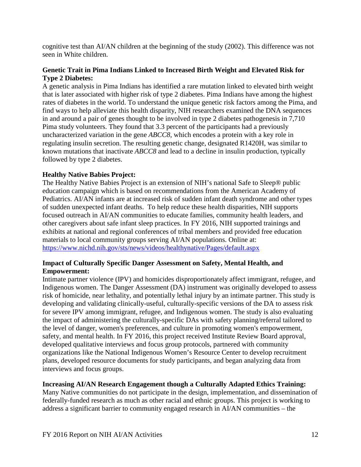cognitive test than AI/AN children at the beginning of the study (2002). This difference was not seen in White children.

# <span id="page-12-0"></span>**Genetic Trait in Pima Indians Linked to Increased Birth Weight and Elevated Risk for Type 2 Diabetes:**

A genetic analysis in Pima Indians has identified a rare mutation linked to elevated birth weight that is later associated with higher risk of type 2 diabetes. Pima Indians have among the highest rates of diabetes in the world. To understand the unique genetic risk factors among the Pima, and find ways to help alleviate this health disparity, NIH researchers examined the DNA sequences in and around a pair of genes thought to be involved in type 2 diabetes pathogenesis in 7,710 Pima study volunteers. They found that 3.3 percent of the participants had a previously uncharacterized variation in the gene *ABCC8*, which encodes a protein with a key role in regulating insulin secretion. The resulting genetic change, designated R1420H, was similar to known mutations that inactivate *ABCC8* and lead to a decline in insulin production, typically followed by type 2 diabetes.

# <span id="page-12-1"></span>**Healthy Native Babies Project:**

The Healthy Native Babies Project is an extension of NIH's national Safe to Sleep® public education campaign which is based on recommendations from the American Academy of Pediatrics. AI/AN infants are at increased risk of sudden infant death syndrome and other types of sudden unexpected infant deaths. To help reduce these health disparities, NIH supports focused outreach in AI/AN communities to educate families, community health leaders, and other caregivers about safe infant sleep practices. In FY 2016, NIH supported trainings and exhibits at national and regional conferences of tribal members and provided free education materials to local community groups serving AI/AN populations. Online at: <https://www.nichd.nih.gov/sts/news/videos/healthynative/Pages/default.aspx>

# <span id="page-12-2"></span>**Impact of Culturally Specific Danger Assessment on Safety, Mental Health, and Empowerment:**

Intimate partner violence (IPV) and homicides disproportionately affect immigrant, refugee, and Indigenous women. The Danger Assessment (DA) instrument was originally developed to assess risk of homicide, near lethality, and potentially lethal injury by an intimate partner. This study is developing and validating clinically-useful, culturally-specific versions of the DA to assess risk for severe IPV among immigrant, refugee, and Indigenous women. The study is also evaluating the impact of administering the culturally-specific DAs with safety planning/referral tailored to the level of danger, women's preferences, and culture in promoting women's empowerment, safety, and mental health. In FY 2016, this project received Institute Review Board approval, developed qualitative interviews and focus group protocols, partnered with community organizations like the National Indigenous Women's Resource Center to develop recruitment plans, developed resource documents for study participants, and began analyzing data from interviews and focus groups.

# <span id="page-12-3"></span>**Increasing AI/AN Research Engagement though a Culturally Adapted Ethics Training:**

Many Native communities do not participate in the design, implementation, and dissemination of federally-funded research as much as other racial and ethnic groups. This project is working to address a significant barrier to community engaged research in AI/AN communities – the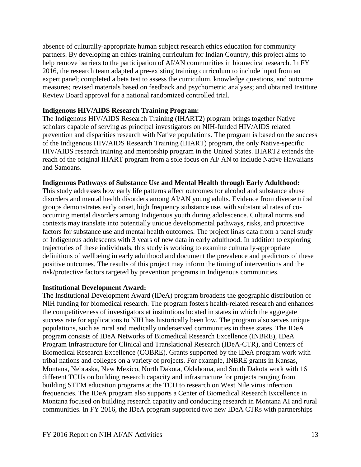absence of culturally-appropriate human subject research ethics education for community partners. By developing an ethics training curriculum for Indian Country, this project aims to help remove barriers to the participation of AI/AN communities in biomedical research. In FY 2016, the research team adapted a pre-existing training curriculum to include input from an expert panel; completed a beta test to assess the curriculum, knowledge questions, and outcome measures; revised materials based on feedback and psychometric analyses; and obtained Institute Review Board approval for a national randomized controlled trial.

#### <span id="page-13-0"></span>**Indigenous HIV/AIDS Research Training Program:**

The Indigenous HIV/AIDS Research Training (IHART2) program brings together Native scholars capable of serving as principal investigators on NIH-funded HIV/AIDS related prevention and disparities research with Native populations. The program is based on the success of the Indigenous HIV/AIDS Research Training (IHART) program, the only Native-specific HIV/AIDS research training and mentorship program in the United States. IHART2 extends the reach of the original IHART program from a sole focus on AI/ AN to include Native Hawaiians and Samoans.

#### <span id="page-13-1"></span>**Indigenous Pathways of Substance Use and Mental Health through Early Adulthood:**

This study addresses how early life patterns affect outcomes for alcohol and substance abuse disorders and mental health disorders among AI/AN young adults. Evidence from diverse tribal groups demonstrates early onset, high frequency substance use, with substantial rates of cooccurring mental disorders among Indigenous youth during adolescence. Cultural norms and contexts may translate into potentially unique developmental pathways, risks, and protective factors for substance use and mental health outcomes. The project links data from a panel study of Indigenous adolescents with 3 years of new data in early adulthood. In addition to exploring trajectories of these individuals, this study is working to examine culturally-appropriate definitions of wellbeing in early adulthood and document the prevalence and predictors of these positive outcomes. The results of this project may inform the timing of interventions and the risk/protective factors targeted by prevention programs in Indigenous communities.

#### <span id="page-13-2"></span>**Institutional Development Award:**

The Institutional Development Award (IDeA) program broadens the geographic distribution of NIH funding for biomedical research. The program fosters health-related research and enhances the competitiveness of investigators at institutions located in states in which the aggregate success rate for applications to NIH has historically been low. The program also serves unique populations, such as rural and medically underserved communities in these states. The IDeA program consists of IDeA Networks of Biomedical Research Excellence (INBRE), IDeA Program Infrastructure for Clinical and Translational Research (IDeA-CTR), and Centers of Biomedical Research Excellence (COBRE). Grants supported by the IDeA program work with tribal nations and colleges on a variety of projects. For example, INBRE grants in Kansas, Montana, Nebraska, New Mexico, North Dakota, Oklahoma, and South Dakota work with 16 different TCUs on building research capacity and infrastructure for projects ranging from building STEM education programs at the TCU to research on West Nile virus infection frequencies. The IDeA program also supports a Center of Biomedical Research Excellence in Montana focused on building research capacity and conducting research in Montana AI and rural communities. In FY 2016, the IDeA program supported two new IDeA CTRs with partnerships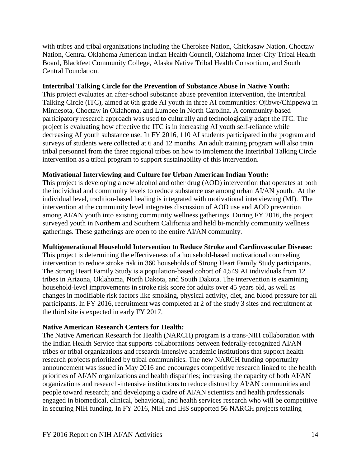with tribes and tribal organizations including the Cherokee Nation, Chickasaw Nation, Choctaw Nation, Central Oklahoma American Indian Health Council, Oklahoma Inner-City Tribal Health Board, Blackfeet Community College, Alaska Native Tribal Health Consortium, and South Central Foundation.

#### <span id="page-14-0"></span>**Intertribal Talking Circle for the Prevention of Substance Abuse in Native Youth:**

This project evaluates an after-school substance abuse prevention intervention, the Intertribal Talking Circle (ITC), aimed at 6th grade AI youth in three AI communities: Ojibwe/Chippewa in Minnesota, Choctaw in Oklahoma, and Lumbee in North Carolina. A community-based participatory research approach was used to culturally and technologically adapt the ITC. The project is evaluating how effective the ITC is in increasing AI youth self-reliance while decreasing AI youth substance use. In FY 2016, 110 AI students participated in the program and surveys of students were collected at 6 and 12 months. An adult training program will also train tribal personnel from the three regional tribes on how to implement the Intertribal Talking Circle intervention as a tribal program to support sustainability of this intervention.

### <span id="page-14-1"></span>**Motivational Interviewing and Culture for Urban American Indian Youth:**

This project is developing a new alcohol and other drug (AOD) intervention that operates at both the individual and community levels to reduce substance use among urban AI/AN youth. At the individual level, tradition-based healing is integrated with motivational interviewing (MI). The intervention at the community level integrates discussion of AOD use and AOD prevention among AI/AN youth into existing community wellness gatherings. During FY 2016, the project surveyed youth in Northern and Southern California and held bi-monthly community wellness gatherings. These gatherings are open to the entire AI/AN community.

#### <span id="page-14-2"></span>**Multigenerational Household Intervention to Reduce Stroke and Cardiovascular Disease:**

This project is determining the effectiveness of a household-based motivational counseling intervention to reduce stroke risk in 360 households of Strong Heart Family Study participants. The Strong Heart Family Study is a population-based cohort of 4,549 AI individuals from 12 tribes in Arizona, Oklahoma, North Dakota, and South Dakota. The intervention is examining household-level improvements in stroke risk score for adults over 45 years old, as well as changes in modifiable risk factors like smoking, physical activity, diet, and blood pressure for all participants. In FY 2016, recruitment was completed at 2 of the study 3 sites and recruitment at the third site is expected in early FY 2017.

# <span id="page-14-3"></span>**Native American Research Centers for Health:**

The Native American Research for Health (NARCH) program is a trans-NIH collaboration with the Indian Health Service that supports collaborations between federally-recognized AI/AN tribes or tribal organizations and research-intensive academic institutions that support health research projects prioritized by tribal communities. The new NARCH funding opportunity announcement was issued in May 2016 and encourages competitive research linked to the health priorities of AI/AN organizations and health disparities; increasing the capacity of both AI/AN organizations and research-intensive institutions to reduce distrust by AI/AN communities and people toward research; and developing a cadre of AI/AN scientists and health professionals engaged in biomedical, clinical, behavioral, and health services research who will be competitive in securing NIH funding. In FY 2016, NIH and IHS supported 56 NARCH projects totaling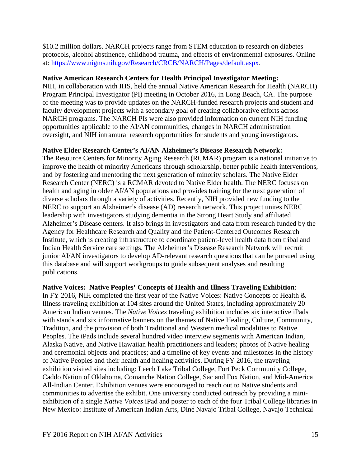\$10.2 million dollars. NARCH projects range from STEM education to research on diabetes protocols, alcohol abstinence, childhood trauma, and effects of environmental exposures. Online at: [https://www.nigms.nih.gov/Research/CRCB/NARCH/Pages/default.aspx.](https://www.nigms.nih.gov/Research/CRCB/NARCH/Pages/default.aspx)

#### <span id="page-15-0"></span>**Native American Research Centers for Health Principal Investigator Meeting:**

NIH, in collaboration with IHS, held the annual Native American Research for Health (NARCH) Program Principal Investigator (PI) meeting in October 2016, in Long Beach, CA. The purpose of the meeting was to provide updates on the NARCH-funded research projects and student and faculty development projects with a secondary goal of creating collaborative efforts across NARCH programs. The NARCH PIs were also provided information on current NIH funding opportunities applicable to the AI/AN communities, changes in NARCH administration oversight, and NIH intramural research opportunities for students and young investigators.

#### <span id="page-15-1"></span>**Native Elder Research Center's AI/AN Alzheimer's Disease Research Network:**

The Resource Centers for Minority Aging Research (RCMAR) program is a national initiative to improve the health of minority Americans through scholarship, better public health interventions, and by fostering and mentoring the next generation of minority scholars. The Native Elder Research Center (NERC) is a RCMAR devoted to Native Elder health. The NERC focuses on health and aging in older AI/AN populations and provides training for the next generation of diverse scholars through a variety of activities. Recently, NIH provided new funding to the NERC to support an Alzheimer's disease (AD) research network. This project unites NERC leadership with investigators studying dementia in the Strong Heart Study and affiliated Alzheimer's Disease centers. It also brings in investigators and data from research funded by the Agency for Healthcare Research and Quality and the Patient-Centered Outcomes Research Institute, which is creating infrastructure to coordinate patient-level health data from tribal and Indian Health Service care settings. The Alzheimer's Disease Research Network will recruit junior AI/AN investigators to develop AD-relevant research questions that can be pursued using this database and will support workgroups to guide subsequent analyses and resulting publications.

# <span id="page-15-2"></span>**Native Voices: Native Peoples' Concepts of Health and Illness Traveling Exhibition**:

In FY 2016, NIH completed the first year of the Native Voices: Native Concepts of Health & Illness traveling exhibition at 104 sites around the United States, including approximately 20 American Indian venues. The *Native Voices* traveling exhibition includes six interactive iPads with stands and six informative banners on the themes of Native Healing, Culture, Community, Tradition, and the provision of both Traditional and Western medical modalities to Native Peoples. The iPads include several hundred video interview segments with American Indian, Alaska Native, and Native Hawaiian health practitioners and leaders; photos of Native healing and ceremonial objects and practices; and a timeline of key events and milestones in the history of Native Peoples and their health and healing activities. During FY 2016, the traveling exhibition visited sites including: Leech Lake Tribal College, Fort Peck Community College, Caddo Nation of Oklahoma, Comanche Nation College, Sac and Fox Nation, and Mid-America All-Indian Center. Exhibition venues were encouraged to reach out to Native students and communities to advertise the exhibit. One university conducted outreach by providing a miniexhibition of a single *Native Voices* iPad and poster to each of the four Tribal College libraries in New Mexico: Institute of American Indian Arts, Diné Navajo Tribal College, Navajo Technical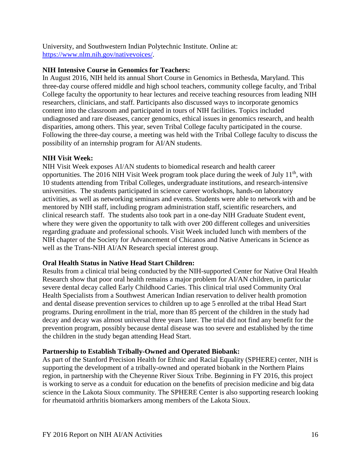University, and Southwestern Indian Polytechnic Institute. Online at: [https://www.nlm.nih.gov/nativevoices/.](https://www.nlm.nih.gov/nativevoices/)

# <span id="page-16-0"></span>**NIH Intensive Course in Genomics for Teachers:**

In August 2016, NIH held its annual Short Course in Genomics in Bethesda, Maryland. This three-day course offered middle and high school teachers, community college faculty, and Tribal College faculty the opportunity to hear lectures and receive teaching resources from leading NIH researchers, clinicians, and staff. Participants also discussed ways to incorporate genomics content into the classroom and participated in tours of NIH facilities. Topics included undiagnosed and rare diseases, cancer genomics, ethical issues in genomics research, and health disparities, among others. This year, seven Tribal College faculty participated in the course. Following the three-day course, a meeting was held with the Tribal College faculty to discuss the possibility of an internship program for AI/AN students.

### <span id="page-16-1"></span>**NIH Vi**s**it Week:**

NIH Visit Week exposes AI/AN students to biomedical research and health career opportunities. The 2016 NIH Visit Week program took place during the week of July  $11<sup>th</sup>$ , with 10 students attending from Tribal Colleges, undergraduate institutions, and research-intensive universities. The students participated in science career workshops, hands-on laboratory activities, as well as networking seminars and events. Students were able to network with and be mentored by NIH staff, including program administration staff, scientific researchers, and clinical research staff. The students also took part in a one-day NIH Graduate Student event, where they were given the opportunity to talk with over 200 different colleges and universities regarding graduate and professional schools. Visit Week included lunch with members of the NIH chapter of the Society for Advancement of Chicanos and Native Americans in Science as well as the Trans-NIH AI/AN Research special interest group.

# <span id="page-16-2"></span>**Oral Health Status in Native Head Start Children:**

Results from a clinical trial being conducted by the NIH-supported Center for Native Oral Health Research show that poor oral health remains a major problem for AI/AN children, in particular severe dental decay called Early Childhood Caries. This clinical trial used Community Oral Health Specialists from a Southwest American Indian reservation to deliver health promotion and dental disease prevention services to children up to age 5 enrolled at the tribal Head Start programs. During enrollment in the trial, more than 85 percent of the children in the study had decay and decay was almost universal three years later. The trial did not find any benefit for the prevention program, possibly because dental disease was too severe and established by the time the children in the study began attending Head Start.

# <span id="page-16-3"></span>**Partnership to Establish Tribally-Owned and Operated Biobank:**

As part of the Stanford Precision Health for Ethnic and Racial Equality (SPHERE) center, NIH is supporting the development of a tribally-owned and operated biobank in the Northern Plains region, in partnership with the Cheyenne River Sioux Tribe. Beginning in FY 2016, this project is working to serve as a conduit for education on the benefits of precision medicine and big data science in the Lakota Sioux community. The SPHERE Center is also supporting research looking for rheumatoid arthritis biomarkers among members of the Lakota Sioux.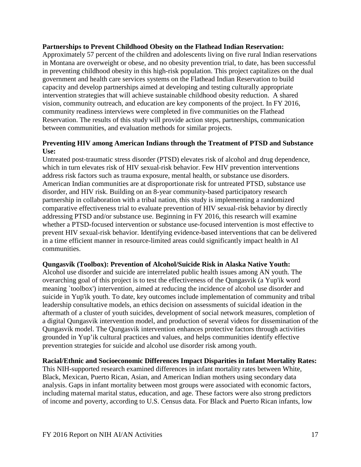#### <span id="page-17-0"></span>**Partnerships to Prevent Childhood Obesity on the Flathead Indian Reservation:**

Approximately 57 percent of the children and adolescents living on five rural Indian reservations in Montana are overweight or obese, and no obesity prevention trial, to date, has been successful in preventing childhood obesity in this high-risk population. This project capitalizes on the dual government and health care services systems on the Flathead Indian Reservation to build capacity and develop partnerships aimed at developing and testing culturally appropriate intervention strategies that will achieve sustainable childhood obesity reduction. A shared vision, community outreach, and education are key components of the project. In FY 2016, community readiness interviews were completed in five communities on the Flathead Reservation. The results of this study will provide action steps, partnerships, communication between communities, and evaluation methods for similar projects.

#### <span id="page-17-1"></span>**Preventing HIV among American Indians through the Treatment of PTSD and Substance Use:**

Untreated post-traumatic stress disorder (PTSD) elevates risk of alcohol and drug dependence, which in turn elevates risk of HIV sexual-risk behavior. Few HIV prevention interventions address risk factors such as trauma exposure, mental health, or substance use disorders. American Indian communities are at disproportionate risk for untreated PTSD, substance use disorder, and HIV risk. Building on an 8-year community-based participatory research partnership in collaboration with a tribal nation, this study is implementing a randomized comparative effectiveness trial to evaluate prevention of HIV sexual-risk behavior by directly addressing PTSD and/or substance use. Beginning in FY 2016, this research will examine whether a PTSD-focused intervention or substance use-focused intervention is most effective to prevent HIV sexual-risk behavior. Identifying evidence-based interventions that can be delivered in a time efficient manner in resource-limited areas could significantly impact health in AI communities.

#### <span id="page-17-2"></span>**Qungasvik (Toolbox): Prevention of Alcohol/Suicide Risk in Alaska Native Youth:**

Alcohol use disorder and suicide are interrelated public health issues among AN youth. The overarching goal of this project is to test the effectiveness of the Qungasvik (a Yup'ik word meaning `toolbox') intervention, aimed at reducing the incidence of alcohol use disorder and suicide in Yup'ik youth. To date, key outcomes include implementation of community and tribal leadership consultative models, an ethics decision on assessments of suicidal ideation in the aftermath of a cluster of youth suicides, development of social network measures, completion of a digital Qungasvik intervention model, and production of several videos for dissemination of the Qungasvik model. The Qungasvik intervention enhances protective factors through activities grounded in Yup'ik cultural practices and values, and helps communities identify effective prevention strategies for suicide and alcohol use disorder risk among youth.

#### <span id="page-17-3"></span>**Racial/Ethnic and Socioeconomic Differences Impact Disparities in Infant Mortality Rates:**

This NIH-supported research examined differences in infant mortality rates between White, Black, Mexican, Puerto Rican, Asian, and American Indian mothers using secondary data analysis. Gaps in infant mortality between most groups were associated with economic factors, including maternal marital status, education, and age. These factors were also strong predictors of income and poverty, according to U.S. Census data. For Black and Puerto Rican infants, low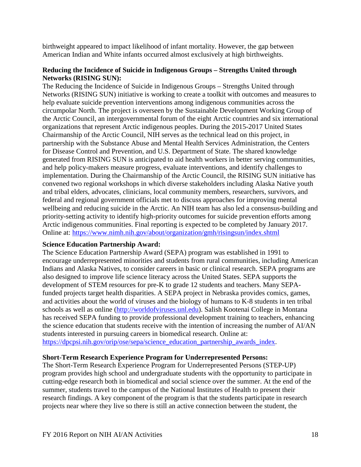birthweight appeared to impact likelihood of infant mortality. However, the gap between American Indian and White infants occurred almost exclusively at high birthweights.

## <span id="page-18-0"></span>**Reducing the Incidence of Suicide in Indigenous Groups – Strengths United through Networks (RISING SUN):**

The Reducing the Incidence of Suicide in Indigenous Groups – Strengths United through Networks (RISING SUN) initiative is working to create a toolkit with outcomes and measures to help evaluate suicide prevention interventions among indigenous communities across the circumpolar North. The project is overseen by the Sustainable Development Working Group of the Arctic Council, an intergovernmental forum of the eight Arctic countries and six international organizations that represent Arctic indigenous peoples. During the 2015-2017 United States Chairmanship of the Arctic Council, NIH serves as the technical lead on this project, in partnership with the Substance Abuse and Mental Health Services Administration, the Centers for Disease Control and Prevention, and U.S. Department of State. The shared knowledge generated from RISING SUN is anticipated to aid health workers in better serving communities, and help policy-makers measure progress, evaluate interventions, and identify challenges to implementation. During the Chairmanship of the Arctic Council, the RISING SUN initiative has convened two regional workshops in which diverse stakeholders including Alaska Native youth and tribal elders, advocates, clinicians, local community members, researchers, survivors, and federal and regional government officials met to discuss approaches for improving mental wellbeing and reducing suicide in the Arctic. An NIH team has also led a consensus-building and priority-setting activity to identify high-priority outcomes for suicide prevention efforts among Arctic indigenous communities. Final reporting is expected to be completed by January 2017. Online at:<https://www.nimh.nih.gov/about/organization/gmh/risingsun/index.shtml>

#### <span id="page-18-1"></span>**Science Education Partnership Award:**

The Science Education Partnership Award (SEPA) program was established in 1991 to encourage underrepresented minorities and students from rural communities, including American Indians and Alaska Natives, to consider careers in basic or clinical research. SEPA programs are also designed to improve life science literacy across the United States. SEPA supports the development of STEM resources for pre-K to grade 12 students and teachers. Many SEPAfunded projects target health disparities. A SEPA project in Nebraska provides comics, games, and activities about the world of viruses and the biology of humans to K-8 students in ten tribal schools as well as online [\(http://worldofviruses.unl.edu\)](http://worldofviruses.unl.edu/). Salish Kootenai College in Montana has received SEPA funding to provide professional development training to teachers, enhancing the science education that students receive with the intention of increasing the number of AI/AN students interested in pursuing careers in biomedical research. Online at: [https://dpcpsi.nih.gov/orip/ose/sepa/science\\_education\\_partnership\\_awards\\_index.](https://dpcpsi.nih.gov/orip/ose/sepa/science_education_partnership_awards_index)

#### <span id="page-18-2"></span>**Short-Term Research Experience Program for Underrepresented Persons:**

The Short-Term Research Experience Program for Underrepresented Persons (STEP-UP) program provides high school and undergraduate students with the opportunity to participate in cutting-edge research both in biomedical and social science over the summer. At the end of the summer, students travel to the campus of the National Institutes of Health to present their research findings. A key component of the program is that the students participate in research projects near where they live so there is still an active connection between the student, the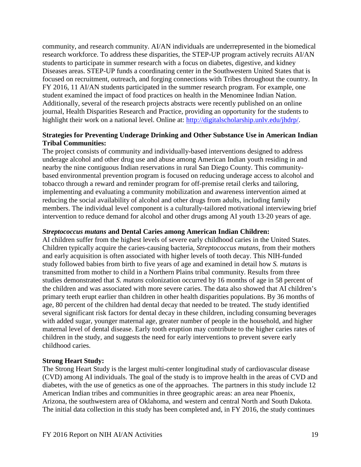community, and research community. AI/AN individuals are underrepresented in the biomedical research workforce. To address these disparities, the STEP-UP program actively recruits AI/AN students to participate in summer research with a focus on diabetes, digestive, and kidney Diseases areas. STEP-UP funds a coordinating center in the Southwestern United States that is focused on recruitment, outreach, and forging connections with Tribes throughout the country. In FY 2016, 11 AI/AN students participated in the summer research program. For example, one student examined the impact of food practices on health in the Menominee Indian Nation. Additionally, several of the research projects abstracts were recently published on an online journal, Health Disparities Research and Practice, providing an opportunity for the students to highlight their work on a national level. Online at: [http://digitalscholarship.unlv.edu/jhdrp/.](http://digitalscholarship.unlv.edu/jhdrp/)

#### <span id="page-19-0"></span>**Strategies for Preventing Underage Drinking and Other Substance Use in American Indian Tribal Communities:**

The project consists of community and individually-based interventions designed to address underage alcohol and other drug use and abuse among American Indian youth residing in and nearby the nine contiguous Indian reservations in rural San Diego County. This communitybased environmental prevention program is focused on reducing underage access to alcohol and tobacco through a reward and reminder program for off-premise retail clerks and tailoring, implementing and evaluating a community mobilization and awareness intervention aimed at reducing the social availability of alcohol and other drugs from adults, including family members. The individual level component is a culturally-tailored motivational interviewing brief intervention to reduce demand for alcohol and other drugs among AI youth 13-20 years of age.

#### <span id="page-19-1"></span>*Streptococcus mutans* **and Dental Caries among American Indian Children:**

AI children suffer from the highest levels of severe early childhood caries in the United States. Children typically acquire the caries-causing bacteria, *Streptococcus mutans*, from their mothers and early acquisition is often associated with higher levels of tooth decay. This NIH-funded study followed babies from birth to five years of age and examined in detail how *S. mutans* is transmitted from mother to child in a Northern Plains tribal community. Results from three studies demonstrated that *S. mutans* colonization occurred by 16 months of age in 58 percent of the children and was associated with more severe caries. The data also showed that AI children's primary teeth erupt earlier than children in other health disparities populations. By 36 months of age, 80 percent of the children had dental decay that needed to be treated. The study identified several significant risk factors for dental decay in these children, including consuming beverages with added sugar, younger maternal age, greater number of people in the household, and higher maternal level of dental disease. Early tooth eruption may contribute to the higher caries rates of children in the study, and suggests the need for early interventions to prevent severe early childhood caries.

#### <span id="page-19-2"></span>**Strong Heart Study:**

The Strong Heart Study is the largest multi-center longitudinal study of cardiovascular disease (CVD) among AI individuals. The goal of the study is to improve health in the areas of CVD and diabetes, with the use of genetics as one of the approaches. The partners in this study include 12 American Indian tribes and communities in three geographic areas: an area near Phoenix, Arizona, the southwestern area of Oklahoma, and western and central North and South Dakota. The initial data collection in this study has been completed and, in FY 2016, the study continues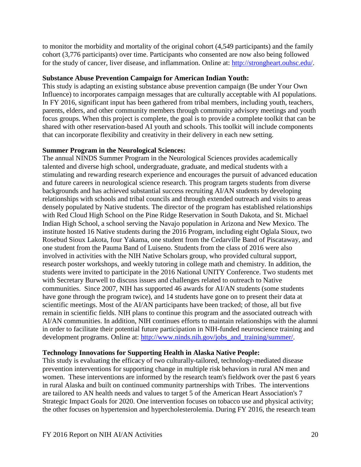to monitor the morbidity and mortality of the original cohort (4,549 participants) and the family cohort (3,776 participants) over time. Participants who consented are now also being followed for the study of cancer, liver disease, and inflammation. Online at: [http://strongheart.ouhsc.edu/.](http://strongheart.ouhsc.edu/)

#### <span id="page-20-0"></span>**Substance Abuse Prevention Campaign for American Indian Youth:**

This study is adapting an existing substance abuse prevention campaign (Be under Your Own Influence) to incorporates campaign messages that are culturally acceptable with AI populations. In FY 2016, significant input has been gathered from tribal members, including youth, teachers, parents, elders, and other community members through community advisory meetings and youth focus groups. When this project is complete, the goal is to provide a complete toolkit that can be shared with other reservation-based AI youth and schools. This toolkit will include components that can incorporate flexibility and creativity in their delivery in each new setting.

### <span id="page-20-1"></span>**Summer Program in the Neurological Sciences:**

The annual NINDS Summer Program in the Neurological Sciences provides academically talented and diverse high school, undergraduate, graduate, and medical students with a stimulating and rewarding research experience and encourages the pursuit of advanced education and future careers in neurological science research. This program targets students from diverse backgrounds and has achieved substantial success recruiting AI/AN students by developing relationships with schools and tribal councils and through extended outreach and visits to areas densely populated by Native students. The director of the program has established relationships with Red Cloud High School on the Pine Ridge Reservation in South Dakota, and St. Michael Indian High School, a school serving the Navajo population in Arizona and New Mexico. The institute hosted 16 Native students during the 2016 Program, including eight Oglala Sioux, two Rosebud Sioux Lakota, four Yakama, one student from the Cedarville Band of Piscataway, and one student from the Pauma Band of Luiseno. Students from the class of 2016 were also involved in activities with the NIH Native Scholars group, who provided cultural support, research poster workshops, and weekly tutoring in college math and chemistry. In addition, the students were invited to participate in the 2016 National UNITY Conference. Two students met with Secretary Burwell to discuss issues and challenges related to outreach to Native communities. Since 2007, NIH has supported 46 awards for AI/AN students (some students have gone through the program twice), and 14 students have gone on to present their data at scientific meetings. Most of the AI/AN participants have been tracked; of those, all but five remain in scientific fields. NIH plans to continue this program and the associated outreach with AI/AN communities. In addition, NIH continues efforts to maintain relationships with the alumni in order to facilitate their potential future participation in NIH-funded neuroscience training and development programs. Online at: [http://www.ninds.nih.gov/jobs\\_and\\_training/summer/.](http://www.ninds.nih.gov/jobs_and_training/summer/)

# <span id="page-20-2"></span>**Technology Innovations for Supporting Health in Alaska Native People:**

This study is evaluating the efficacy of two culturally-tailored, technology-mediated disease prevention interventions for supporting change in multiple risk behaviors in rural AN men and women. These interventions are informed by the research team's fieldwork over the past 6 years in rural Alaska and built on continued community partnerships with Tribes. The interventions are tailored to AN health needs and values to target 5 of the American Heart Association's 7 Strategic Impact Goals for 2020. One intervention focuses on tobacco use and physical activity; the other focuses on hypertension and hypercholesterolemia. During FY 2016, the research team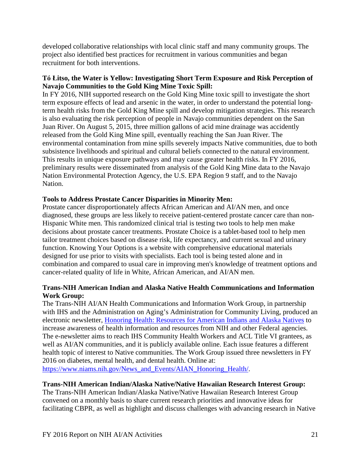developed collaborative relationships with local clinic staff and many community groups. The project also identified best practices for recruitment in various communities and began recruitment for both interventions.

# <span id="page-21-0"></span>**Tó Łitso, the Water is Yellow: Investigating Short Term Exposure and Risk Perception of Navajo Communities to the Gold King Mine Toxic Spill:**

In FY 2016, NIH supported research on the Gold King Mine toxic spill to investigate the short term exposure effects of lead and arsenic in the water, in order to understand the potential longterm health risks from the Gold King Mine spill and develop mitigation strategies. This research is also evaluating the risk perception of people in Navajo communities dependent on the San Juan River. On August 5, 2015, three million gallons of acid mine drainage was accidently released from the Gold King Mine spill, eventually reaching the San Juan River. The environmental contamination from mine spills severely impacts Native communities, due to both subsistence livelihoods and spiritual and cultural beliefs connected to the natural environment. This results in unique exposure pathways and may cause greater health risks. In FY 2016, preliminary results were disseminated from analysis of the Gold King Mine data to the Navajo Nation Environmental Protection Agency, the U.S. EPA Region 9 staff, and to the Navajo Nation.

# <span id="page-21-1"></span>**Tools to Address Prostate Cancer Disparities in Minority Men:**

Prostate cancer disproportionately affects African American and AI/AN men, and once diagnosed, these groups are less likely to receive patient-centered prostate cancer care than non-Hispanic White men. This randomized clinical trial is testing two tools to help men make decisions about prostate cancer treatments. Prostate Choice is a tablet-based tool to help men tailor treatment choices based on disease risk, life expectancy, and current sexual and urinary function. Knowing Your Options is a website with comprehensive educational materials designed for use prior to visits with specialists. Each tool is being tested alone and in combination and compared to usual care in improving men's knowledge of treatment options and cancer-related quality of life in White, African American, and AI/AN men.

# <span id="page-21-2"></span>**Trans-NIH American Indian and Alaska Native Health Communications and Information Work Group:**

The Trans-NIH AI/AN Health Communications and Information Work Group, in partnership with IHS and the Administration on Aging's Administration for Community Living, produced an electronic newsletter, [Honoring Health: Resources for American Indians and Alaska Natives](http://www.niams.nih.gov/News_and_Events/AIAN_Honoring_Health/) to increase awareness of health information and resources from NIH and other Federal agencies. The e-newsletter aims to reach IHS Community Health Workers and ACL Title VI grantees, as well as AI/AN communities, and it is publicly available online. Each issue features a different health topic of interest to Native communities. The Work Group issued three newsletters in FY 2016 on diabetes, mental health, and dental health. Online at:

[https://www.niams.nih.gov/News\\_and\\_Events/AIAN\\_Honoring\\_Health/.](https://www.niams.nih.gov/News_and_Events/AIAN_Honoring_Health/)

# <span id="page-21-3"></span>**Trans-NIH American Indian/Alaska Native/Native Hawaiian Research Interest Group:**

The Trans-NIH American Indian/Alaska Native/Native Hawaiian Research Interest Group convened on a monthly basis to share current research priorities and innovative ideas for facilitating CBPR, as well as highlight and discuss challenges with advancing research in Native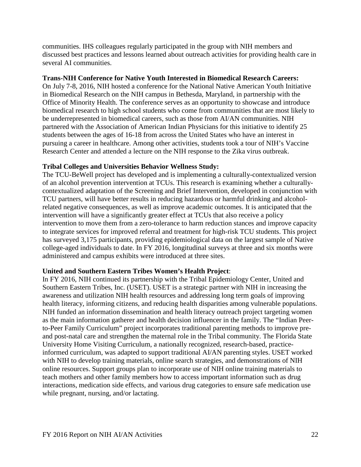communities. IHS colleagues regularly participated in the group with NIH members and discussed best practices and lessons learned about outreach activities for providing health care in several AI communities.

#### <span id="page-22-0"></span>**Trans-NIH Conference for Native Youth Interested in Biomedical Research Careers:**

On July 7-8, 2016, NIH hosted a conference for the National Native American Youth Initiative in Biomedical Research on the NIH campus in Bethesda, Maryland, in partnership with the Office of Minority Health. The conference serves as an opportunity to showcase and introduce biomedical research to high school students who come from communities that are most likely to be underrepresented in biomedical careers, such as those from AI/AN communities. NIH partnered with the Association of American Indian Physicians for this initiative to identify 25 students between the ages of 16-18 from across the United States who have an interest in pursuing a career in healthcare. Among other activities, students took a tour of NIH's Vaccine Research Center and attended a lecture on the NIH response to the Zika virus outbreak.

### <span id="page-22-1"></span>**Tribal Colleges and Universities Behavior Wellness Study:**

The TCU-BeWell project has developed and is implementing a culturally-contextualized version of an alcohol prevention intervention at TCUs. This research is examining whether a culturallycontextualized adaptation of the Screening and Brief Intervention, developed in conjunction with TCU partners, will have better results in reducing hazardous or harmful drinking and alcoholrelated negative consequences, as well as improve academic outcomes. It is anticipated that the intervention will have a significantly greater effect at TCUs that also receive a policy intervention to move them from a zero-tolerance to harm reduction stances and improve capacity to integrate services for improved referral and treatment for high-risk TCU students. This project has surveyed 3,175 participants, providing epidemiological data on the largest sample of Native college-aged individuals to date. In FY 2016, longitudinal surveys at three and six months were administered and campus exhibits were introduced at three sites.

#### <span id="page-22-2"></span>**United and Southern Eastern Tribes Women's Health Project**:

In FY 2016, NIH continued its partnership with the Tribal Epidemiology Center, United and Southern Eastern Tribes, Inc. (USET). USET is a strategic partner with NIH in increasing the awareness and utilization NIH health resources and addressing long term goals of improving health literacy, informing citizens, and reducing health disparities among vulnerable populations. NIH funded an information dissemination and health literacy outreach project targeting women as the main information gatherer and health decision influencer in the family. The "Indian Peerto-Peer Family Curriculum" project incorporates traditional parenting methods to improve preand post-natal care and strengthen the maternal role in the Tribal community. The Florida State University Home Visiting Curriculum, a nationally recognized, research-based, practiceinformed curriculum, was adapted to support traditional AI/AN parenting styles. USET worked with NIH to develop training materials, online search strategies, and demonstrations of NIH online resources. Support groups plan to incorporate use of NIH online training materials to teach mothers and other family members how to access important information such as drug interactions, medication side effects, and various drug categories to ensure safe medication use while pregnant, nursing, and/or lactating.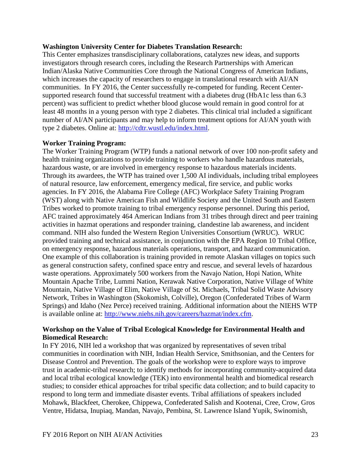#### <span id="page-23-0"></span>**Washington University Center for Diabetes Translation Research:**

This Center emphasizes transdisciplinary collaborations, catalyzes new ideas, and supports investigators through research cores, including the Research Partnerships with American Indian/Alaska Native Communities Core through the National Congress of American Indians, which increases the capacity of researchers to engage in translational research with AI/AN communities. In FY 2016, the Center successfully re-competed for funding. Recent Centersupported research found that successful treatment with a diabetes drug (HbA1c less than 6.3 percent) was sufficient to predict whether blood glucose would remain in good control for at least 48 months in a young person with type 2 diabetes. This clinical trial included a significant number of AI/AN participants and may help to inform treatment options for AI/AN youth with type 2 diabetes. Online at: [http://cdtr.wustl.edu/index.html.](http://cdtr.wustl.edu/index.html)

#### <span id="page-23-1"></span>**Worker Training Program:**

The Worker Training Program (WTP) funds a national network of over 100 non-profit safety and health training organizations to provide training to workers who handle hazardous materials, hazardous waste, or are involved in emergency response to hazardous materials incidents. Through its awardees, the WTP has trained over 1,500 AI individuals, including tribal employees of natural resource, law enforcement, emergency medical, fire service, and public works agencies. In FY 2016, the Alabama Fire College (AFC) Workplace Safety Training Program (WST) along with Native American Fish and Wildlife Society and the United South and Eastern Tribes worked to promote training to tribal emergency response personnel. During this period, AFC trained approximately 464 American Indians from 31 tribes through direct and peer training activities in hazmat operations and responder training, clandestine lab awareness, and incident command. NIH also funded the Western Region Universities Consortium (WRUC). WRUC provided training and technical assistance, in conjunction with the EPA Region 10 Tribal Office, on emergency response, hazardous materials operations, transport, and hazard communication. One example of this collaboration is training provided in remote Alaskan villages on topics such as general construction safety, confined space entry and rescue, and several levels of hazardous waste operations. Approximately 500 workers from the Navajo Nation, Hopi Nation, White Mountain Apache Tribe, Lummi Nation, Kerawak Native Corporation, Native Village of White Mountain, Native Village of Elim, Native Village of St. Michaels, Tribal Solid Waste Advisory Network, Tribes in Washington (Skokomish, Colville), Oregon (Confederated Tribes of Warm Springs) and Idaho (Nez Perce) received training. Additional information about the NIEHS WTP is available online at: [http://www.niehs.nih.gov/careers/hazmat/index.cfm.](http://www.niehs.nih.gov/careers/hazmat/index.cfm)

### <span id="page-23-2"></span>**Workshop on the Value of Tribal Ecological Knowledge for Environmental Health and Biomedical Research:**

In FY 2016, NIH led a workshop that was organized by representatives of seven tribal communities in coordination with NIH, Indian Health Service, Smithsonian, and the Centers for Disease Control and Prevention. The goals of the workshop were to explore ways to improve trust in academic-tribal research; to identify methods for incorporating community-acquired data and local tribal ecological knowledge (TEK) into environmental health and biomedical research studies; to consider ethical approaches for tribal specific data collection; and to build capacity to respond to long term and immediate disaster events. Tribal affiliations of speakers included Mohawk, Blackfeet, Cherokee, Chippewa, Confederated Salish and Kootenai, Cree, Crow, Gros Ventre, Hidatsa, Inupiaq, Mandan, Navajo, Pembina, St. Lawrence Island Yupik, Swinomish,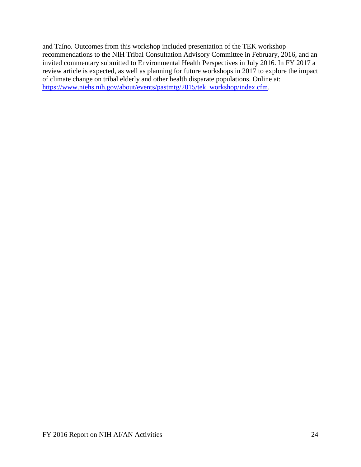and Taíno. Outcomes from this workshop included presentation of the TEK workshop recommendations to the NIH Tribal Consultation Advisory Committee in February, 2016, and an invited commentary submitted to Environmental Health Perspectives in July 2016. In FY 2017 a review article is expected, as well as planning for future workshops in 2017 to explore the impact of climate change on tribal elderly and other health disparate populations. Online at: [https://www.niehs.nih.gov/about/events/pastmtg/2015/tek\\_workshop/index.cfm.](https://www.niehs.nih.gov/about/events/pastmtg/2015/tek_workshop/index.cfm)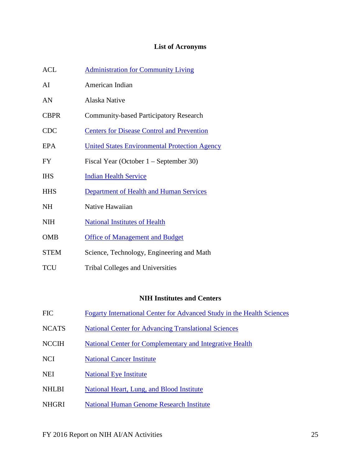# **List of Acronyms**

<span id="page-25-0"></span>

| <b>ACL</b>  | <b>Administration for Community Living</b>           |
|-------------|------------------------------------------------------|
| AI          | American Indian                                      |
| AN          | Alaska Native                                        |
| <b>CBPR</b> | <b>Community-based Participatory Research</b>        |
| <b>CDC</b>  | <b>Centers for Disease Control and Prevention</b>    |
| EPA         | <b>United States Environmental Protection Agency</b> |
| <b>FY</b>   | Fiscal Year (October $1 -$ September 30)             |
| <b>IHS</b>  | <b>Indian Health Service</b>                         |
| <b>HHS</b>  | <b>Department of Health and Human Services</b>       |
| <b>NH</b>   | Native Hawaiian                                      |
| <b>NIH</b>  | <b>National Institutes of Health</b>                 |
| <b>OMB</b>  | <b>Office of Management and Budget</b>               |
| <b>STEM</b> | Science, Technology, Engineering and Math            |

TCU Tribal Colleges and Universities

# **NIH Institutes and Centers**

- FIC [Fogarty International Center for Advanced Study in the Health Sciences](http://www.fic.nih.gov/)
- NCATS [National Center for Advancing Translational Sciences](https://ncats.nih.gov/)
- NCCIH [National Center for Complementary and Integrative Health](https://nccih.nih.gov/)
- NCI [National Cancer](http://www.cancer.gov/) Institute
- NEI [National Eye Institute](http://www.nei.nih.gov/)
- NHLBI National Heart, Lung, and Blood Institute
- NHGRI [National Human Genome Research Institute](http://www.genome.gov/)